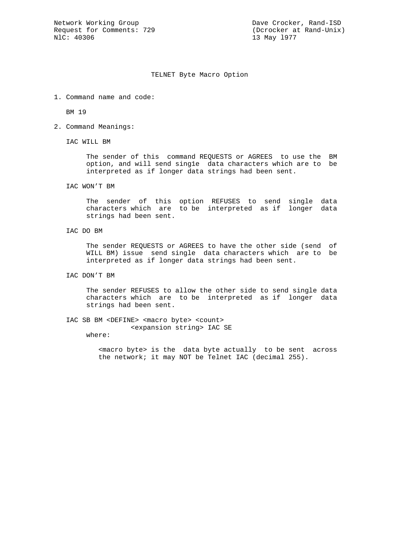13 May 1977

## TELNET Byte Macro Option

1. Command name and code:

BM 19

2. Command Meanings:

IAC WILL BM

 The sender of this command REQUESTS or AGREES to use the BM option, and will send sing1e data characters which are to be interpreted as if longer data strings had been sent.

IAC WON'T BM

 The sender of this option REFUSES to send single data characters which are to be interpreted as if longer data strings had been sent.

IAC DO BM

 The sender REQUESTS or AGREES to have the other side (send of WILL BM) issue send single data characters which are to be interpreted as if longer data strings had been sent.

IAC DON'T BM

 The sender REFUSES to allow the other side to send single data characters which are to be interpreted as if longer data strings had been sent.

IAC SB BM <DEFINE> <macro byte> <count> <expansion string> IAC SE

where:

 <macro byte> is the data byte actually to be sent across the network; it may NOT be Telnet IAC (decimal 255).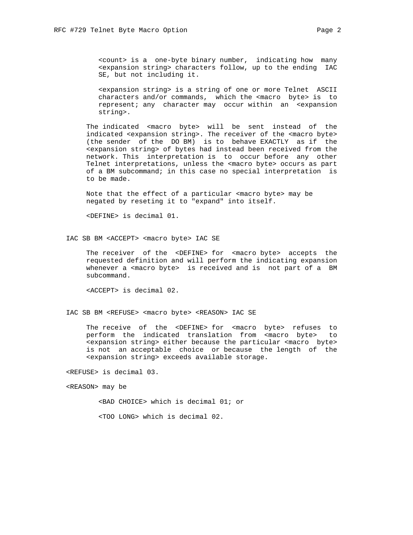<count> is a one-byte binary number, indicating how many <expansion string> characters follow, up to the ending IAC SE, but not including it.

 <expansion string> is a string of one or more Telnet ASCII characters and/or commands, which the <macro byte> is to represent; any character may occur within an <expansion string>.

 The indicated <macro byte> will be sent instead of the indicated <expansion string>. The receiver of the <macro byte> (the sender of the DO BM) is to behave EXACTLY as if the <expansion string> of bytes had instead been received from the network. This interpretation is to occur before any other Telnet interpretations, unless the <macro byte> occurs as part of a BM subcommand; in this case no special interpretation is to be made.

 Note that the effect of a particular <macro byte> may be negated by reseting it to "expand" into itself.

<DEFINE> is decimal 01.

IAC SB BM <ACCEPT> <macro byte> IAC SE

The receiver of the <DEFINE> for <macro byte> accepts the requested definition and will perform the indicating expansion whenever a <macro byte> is received and is not part of a BM subcommand.

<ACCEPT> is decimal 02.

IAC SB BM <REFUSE> <macro byte> <REASON> IAC SE

 The receive of the <DEFINE> for <macro byte> refuses to perform the indicated translation from <macro byte> to <expansion string> either because the particular <macro byte> is not an acceptable choice or because the length of the <expansion string> exceeds available storage.

<REFUSE> is decimal 03.

<REASON> may be

<BAD CHOICE> which is decimal 01; or

<TOO LONG> which is decimal 02.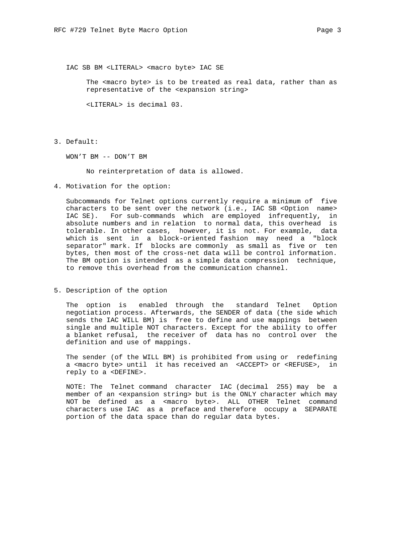The <macro byte> is to be treated as real data, rather than as representative of the <expansion string>

<LITERAL> is decimal 03.

3. Default:

WON'T BM -- DON'T BM

No reinterpretation of data is allowed.

4. Motivation for the option:

 Subcommands for Telnet options currently require a minimum of five characters to be sent over the network (i.e., IAC SB <Option name> IAC SE). For sub-commands which are employed infrequently, in absolute numbers and in relation to normal data, this overhead is tolerable. In other cases, however, it is not. For example, data which is sent in a block-oriented fashion may need a "block separator" mark. If blocks are commonly as small as five or ten bytes, then most of the cross-net data will be control information. The BM option is intended as a simple data compression technique, to remove this overhead from the communication channel.

5. Description of the option

 The option is enabled through the standard Telnet Option negotiation process. Afterwards, the SENDER of data (the side which sends the IAC WILL BM) is free to define and use mappings between single and multiple NOT characters. Except for the ability to offer a blanket refusal, the receiver of data has no control over the definition and use of mappings.

 The sender (of the WILL BM) is prohibited from using or redefining a <macro byte> until it has received an <ACCEPT> or <REFUSE>, in reply to a <DEFINE>.

 NOTE: The Telnet command character IAC (decimal 255) may be a member of an <expansion string> but is the ONLY character which may NOT be defined as a <macro byte>. ALL OTHER Telnet command characters use IAC as a preface and therefore occupy a SEPARATE portion of the data space than do regular data bytes.